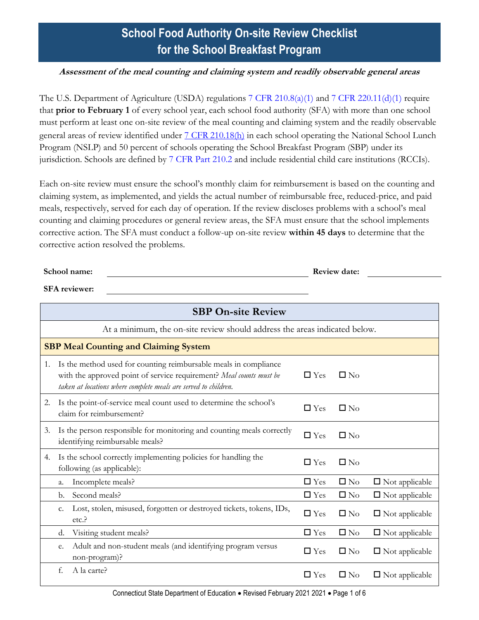# **School Food Authority On-site Review Checklist for the School Breakfast Program**

#### **Assessment of the meal counting and claiming system and readily observable general areas**

The U.S. Department of Agriculture (USDA) regulations [7 CFR 210.8\(a\)\(1\)](https://www.ecfr.gov/cgi-bin/text-idx?SID=4c211a738d6109939c6054a6286ac109&mc=true&node=pt7.4.210&rgn=div5s#se7.4.210_18) and [7 CFR 220.11\(d\)\(1\)](https://www.ecfr.gov/cgi-bin/text-idx?SID=4c211a738d6109939c6054a6286ac109&mc=true&node=pt7.4.210&rgn=div5s#se7.4.210_120) require that **prior to February 1** of every school year, each school food authority (SFA) with more than one school must perform at least one on-site review of the meal counting and claiming system and the readily observable general areas of review identified under  $7 \text{ CFR } 210.18 \text{ (h)}$  in each school operating the National School Lunch Program (NSLP) and 50 percent of schools operating the School Breakfast Program (SBP) under its jurisdiction. Schools are defined by [7 CFR Part 210.2](https://www.ecfr.gov/cgi-bin/text-idx?SID=4c211a738d6109939c6054a6286ac109&mc=true&node=pt7.4.210&rgn=div5s#se7.4.210_12) and include residential child care institutions (RCCIs).

Each on-site review must ensure the school's monthly claim for reimbursement is based on the counting and claiming system, as implemented, and yields the actual number of reimbursable free, reduced-price, and paid meals, respectively, served for each day of operation. If the review discloses problems with a school's meal counting and claiming procedures or general review areas, the SFA must ensure that the school implements corrective action. The SFA must conduct a follow-up on-site review **within 45 days** to determine that the corrective action resolved the problems.

| School name:         | <b>Review date:</b> |  |
|----------------------|---------------------|--|
| <b>SFA</b> reviewer: |                     |  |

|    | <b>SBP On-site Review</b>                                                  |                                                                                                                                         |            |              |                       |
|----|----------------------------------------------------------------------------|-----------------------------------------------------------------------------------------------------------------------------------------|------------|--------------|-----------------------|
|    | At a minimum, the on-site review should address the areas indicated below. |                                                                                                                                         |            |              |                       |
|    | <b>SBP Meal Counting and Claiming System</b>                               |                                                                                                                                         |            |              |                       |
| 1. | taken at locations where complete meals are served to children.            | Is the method used for counting reimbursable meals in compliance<br>with the approved point of service requirement? Meal counts must be | $\Box$ Yes | $\Box$ No    |                       |
| 2. | claim for reimbursement?                                                   | Is the point-of-service meal count used to determine the school's                                                                       | $\Box$ Yes | $\Box$ No    |                       |
| 3. | identifying reimbursable meals?                                            | Is the person responsible for monitoring and counting meals correctly                                                                   | $\Box$ Yes | $\square$ No |                       |
| 4. | following (as applicable):                                                 | Is the school correctly implementing policies for handling the                                                                          | $\Box$ Yes | $\square$ No |                       |
|    | Incomplete meals?<br>a.                                                    |                                                                                                                                         | $\Box$ Yes | $\square$ No | $\Box$ Not applicable |
|    | Second meals?<br>b.                                                        |                                                                                                                                         | $\Box$ Yes | $\square$ No | $\Box$ Not applicable |
|    | c.<br>etc.                                                                 | Lost, stolen, misused, forgotten or destroyed tickets, tokens, IDs,                                                                     | $\Box$ Yes | $\square$ No | $\Box$ Not applicable |
|    | Visiting student meals?<br>d.                                              |                                                                                                                                         | $\Box$ Yes | $\square$ No | $\Box$ Not applicable |
|    | e.<br>non-program)?                                                        | Adult and non-student meals (and identifying program versus                                                                             | $\Box$ Yes | $\square$ No | $\Box$ Not applicable |
|    | A la carte?<br>f.                                                          |                                                                                                                                         | $\Box$ Yes | $\square$ No | $\Box$ Not applicable |

Connecticut State Department of Education . Revised February 2021 2021 . Page 1 of 6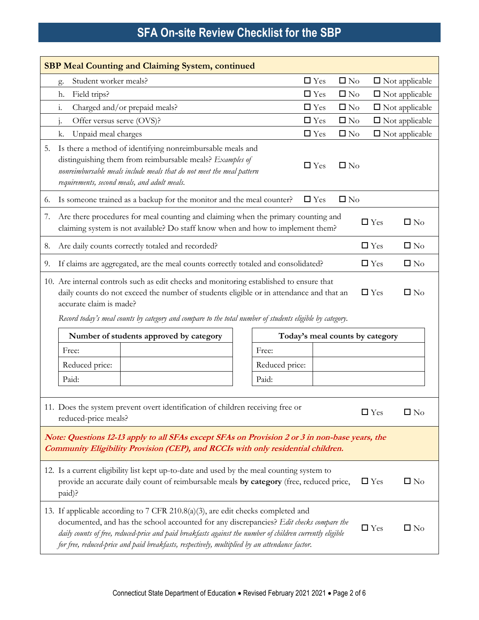| <b>SBP Meal Counting and Claiming System, continued</b>                                                                                                                            |                                                                                                                                                                                                                                                                                                                                                                                                                         |                                 |              |            |                       |  |
|------------------------------------------------------------------------------------------------------------------------------------------------------------------------------------|-------------------------------------------------------------------------------------------------------------------------------------------------------------------------------------------------------------------------------------------------------------------------------------------------------------------------------------------------------------------------------------------------------------------------|---------------------------------|--------------|------------|-----------------------|--|
|                                                                                                                                                                                    | Student worker meals?<br>g.                                                                                                                                                                                                                                                                                                                                                                                             | $\Box$ Yes                      | $\square$ No |            | $\Box$ Not applicable |  |
|                                                                                                                                                                                    | Field trips?<br>h.                                                                                                                                                                                                                                                                                                                                                                                                      | $\Box$ Yes                      | $\square$ No |            | $\Box$ Not applicable |  |
|                                                                                                                                                                                    | $\mathbf{i}$ .<br>Charged and/or prepaid meals?                                                                                                                                                                                                                                                                                                                                                                         | $\Box$ Yes                      | $\square$ No |            | $\Box$ Not applicable |  |
|                                                                                                                                                                                    | Offer versus serve (OVS)?<br>j.                                                                                                                                                                                                                                                                                                                                                                                         | $\Box$ Yes                      | $\square$ No |            | $\Box$ Not applicable |  |
|                                                                                                                                                                                    | Unpaid meal charges<br>k.                                                                                                                                                                                                                                                                                                                                                                                               | $\Box$ Yes                      | $\square$ No |            | $\Box$ Not applicable |  |
| 5.                                                                                                                                                                                 | Is there a method of identifying nonreimbursable meals and<br>distinguishing them from reimbursable meals? Examples of<br>nonreimbursable meals include meals that do not meet the meal pattern<br>requirements, second meals, and adult meals.                                                                                                                                                                         | $\Box$ Yes                      | $\square$ No |            |                       |  |
| 6.                                                                                                                                                                                 | Is someone trained as a backup for the monitor and the meal counter?                                                                                                                                                                                                                                                                                                                                                    | $\Box$ Yes                      | $\square$ No |            |                       |  |
| 7.                                                                                                                                                                                 | Are there procedures for meal counting and claiming when the primary counting and<br>claiming system is not available? Do staff know when and how to implement them?                                                                                                                                                                                                                                                    |                                 |              | $\Box$ Yes | $\square$ No          |  |
| 8.                                                                                                                                                                                 | Are daily counts correctly totaled and recorded?                                                                                                                                                                                                                                                                                                                                                                        |                                 |              | $\Box$ Yes | $\square$ No          |  |
| 9.                                                                                                                                                                                 | If claims are aggregated, are the meal counts correctly totaled and consolidated?                                                                                                                                                                                                                                                                                                                                       |                                 |              | $\Box$ Yes | $\square$ No          |  |
|                                                                                                                                                                                    | 10. Are internal controls such as edit checks and monitoring established to ensure that<br>$\square$ No<br>daily counts do not exceed the number of students eligible or in attendance and that an<br>$\Box$ Yes<br>accurate claim is made?<br>Record today's meal counts by category and compare to the total number of students eligible by category.                                                                 |                                 |              |            |                       |  |
|                                                                                                                                                                                    | Number of students approved by category                                                                                                                                                                                                                                                                                                                                                                                 | Today's meal counts by category |              |            |                       |  |
|                                                                                                                                                                                    | Free:<br>Free:                                                                                                                                                                                                                                                                                                                                                                                                          |                                 |              |            |                       |  |
|                                                                                                                                                                                    | Reduced price:<br>Reduced price:                                                                                                                                                                                                                                                                                                                                                                                        |                                 |              |            |                       |  |
|                                                                                                                                                                                    | Paid:<br>Paid:                                                                                                                                                                                                                                                                                                                                                                                                          |                                 |              |            |                       |  |
|                                                                                                                                                                                    | 11. Does the system prevent overt identification of children receiving free or<br>$\Box$ Yes<br>$\square$ No<br>reduced-price meals?                                                                                                                                                                                                                                                                                    |                                 |              |            |                       |  |
| Note: Questions 12-13 apply to all SFAs except SFAs on Provision 2 or 3 in non-base years, the<br>Community Eligibility Provision (CEP), and RCCIs with only residential children. |                                                                                                                                                                                                                                                                                                                                                                                                                         |                                 |              |            |                       |  |
|                                                                                                                                                                                    | 12. Is a current eligibility list kept up-to-date and used by the meal counting system to<br>provide an accurate daily count of reimbursable meals by category (free, reduced price,<br>$\Box$ Yes<br>$\square$ No<br>paid)?                                                                                                                                                                                            |                                 |              |            |                       |  |
|                                                                                                                                                                                    | 13. If applicable according to 7 CFR 210.8(a)(3), are edit checks completed and<br>documented, and has the school accounted for any discrepancies? Edit checks compare the<br>$\Box$ Yes<br>$\square$ No<br>daily counts of free, reduced-price and paid breakfasts against the number of children currently eligible<br>for free, reduced-price and paid breakfasts, respectively, multiplied by an attendance factor. |                                 |              |            |                       |  |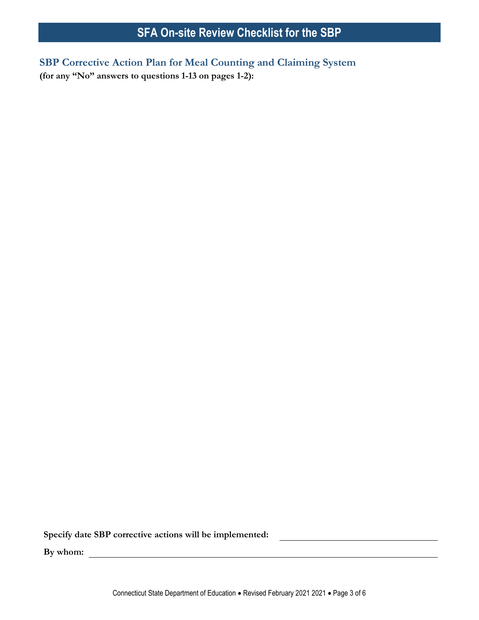**SBP Corrective Action Plan for Meal Counting and Claiming System (for any "No" answers to questions 1-13 on pages 1-2):**

**Specify date SBP corrective actions will be implemented:**

**By whom:**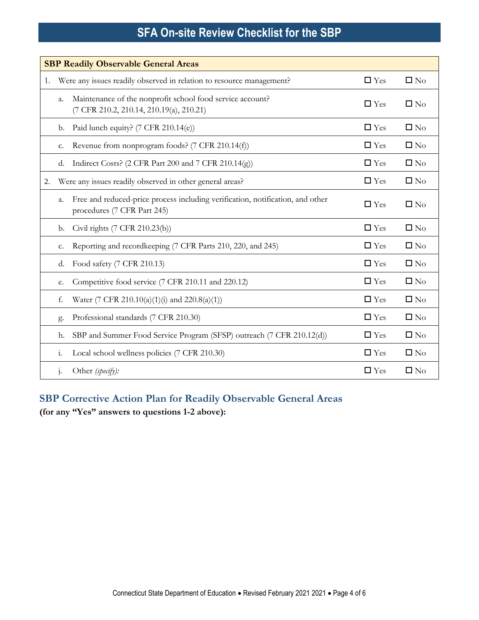|    | <b>SBP Readily Observable General Areas</b> |                                                                                                               |               |              |  |  |  |
|----|---------------------------------------------|---------------------------------------------------------------------------------------------------------------|---------------|--------------|--|--|--|
| 1. |                                             | Were any issues readily observed in relation to resource management?                                          | $\Box$ Yes    | $\square$ No |  |  |  |
|    | a.                                          | Maintenance of the nonprofit school food service account?<br>(7 CFR 210.2, 210.14, 210.19(a), 210.21)         | $\Box$ Yes    | $\square$ No |  |  |  |
|    | b.                                          | Paid lunch equity? (7 CFR 210.14(e))                                                                          | $\Box$ Yes    | $\square$ No |  |  |  |
|    | c.                                          | Revenue from nonprogram foods? (7 CFR 210.14(f))                                                              | $\Box$ Yes    | $\square$ No |  |  |  |
|    | d.                                          | Indirect Costs? (2 CFR Part 200 and 7 CFR 210.14(g))                                                          | $\Box$ Yes    | $\square$ No |  |  |  |
| 2. |                                             | Were any issues readily observed in other general areas?                                                      | $\square$ Yes | $\square$ No |  |  |  |
|    | a.                                          | Free and reduced-price process including verification, notification, and other<br>procedures (7 CFR Part 245) | $\Box$ Yes    | $\square$ No |  |  |  |
|    | b.                                          | Civil rights (7 CFR 210.23(b))                                                                                | $\Box$ Yes    | $\square$ No |  |  |  |
|    | c.                                          | Reporting and recordkeeping (7 CFR Parts 210, 220, and 245)                                                   | $\Box$ Yes    | $\square$ No |  |  |  |
|    | d.                                          | Food safety (7 CFR 210.13)                                                                                    | $\Box$ Yes    | $\square$ No |  |  |  |
|    | е.                                          | Competitive food service (7 CFR 210.11 and 220.12)                                                            | $\Box$ Yes    | $\square$ No |  |  |  |
|    | f.                                          | Water (7 CFR 210.10(a)(1)(i) and 220.8(a)(1))                                                                 | $\Box$ Yes    | $\square$ No |  |  |  |
|    | g.                                          | Professional standards (7 CFR 210.30)                                                                         | $\Box$ Yes    | $\square$ No |  |  |  |
|    | h.                                          | SBP and Summer Food Service Program (SFSP) outreach (7 CFR 210.12(d))                                         | $\Box$ Yes    | $\square$ No |  |  |  |
|    | $\dot{1}$                                   | Local school wellness policies (7 CFR 210.30)                                                                 | $\Box$ Yes    | $\square$ No |  |  |  |
|    | 1.                                          | Other (specify):                                                                                              | $\Box$ Yes    | $\square$ No |  |  |  |

# **SBP Corrective Action Plan for Readily Observable General Areas**

**(for any "Yes" answers to questions 1-2 above):**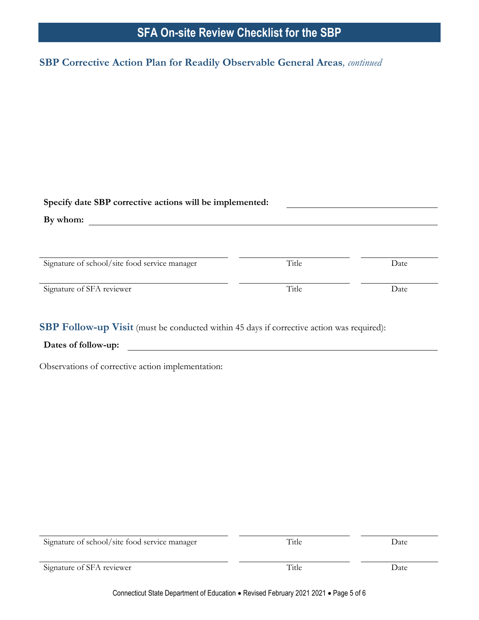### **SBP Corrective Action Plan for Readily Observable General Areas***, continued*

| Specify date SBP corrective actions will be implemented: |       |      |
|----------------------------------------------------------|-------|------|
| By whom:                                                 |       |      |
|                                                          |       |      |
|                                                          |       |      |
| Signature of school/site food service manager            | Title | Date |
|                                                          |       |      |

Signature of SFA reviewer Date Date

**SBP Follow-up Visit** (must be conducted within 45 days if corrective action was required):

**Dates of follow-up:**

Observations of corrective action implementation:

| Signature of school/site food service manager | Title | Date |
|-----------------------------------------------|-------|------|
| Signature of SFA reviewer                     | Title | Date |